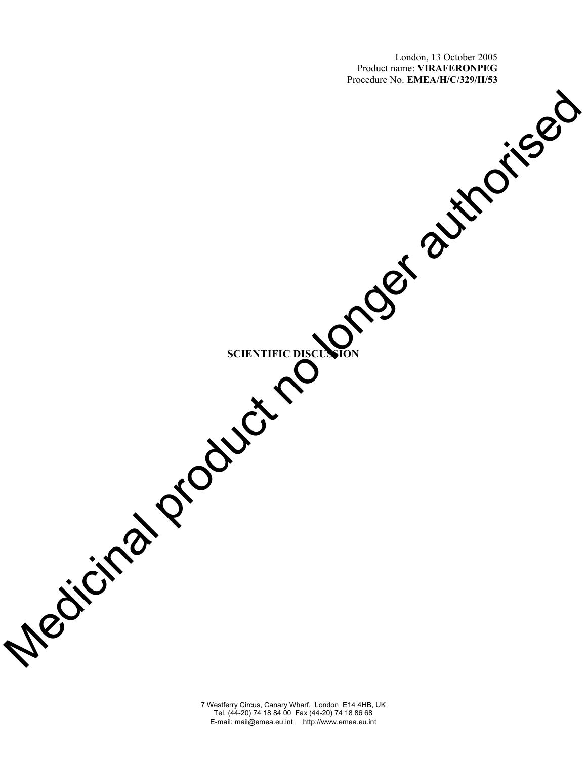London, 13 October 2005 Product name: **VIRAFERONPEG** Procedure No. **EMEA/H/C/329/II/53** 

**SCIENTIFIC DISCUSSION**  Medicinal product no longer authorised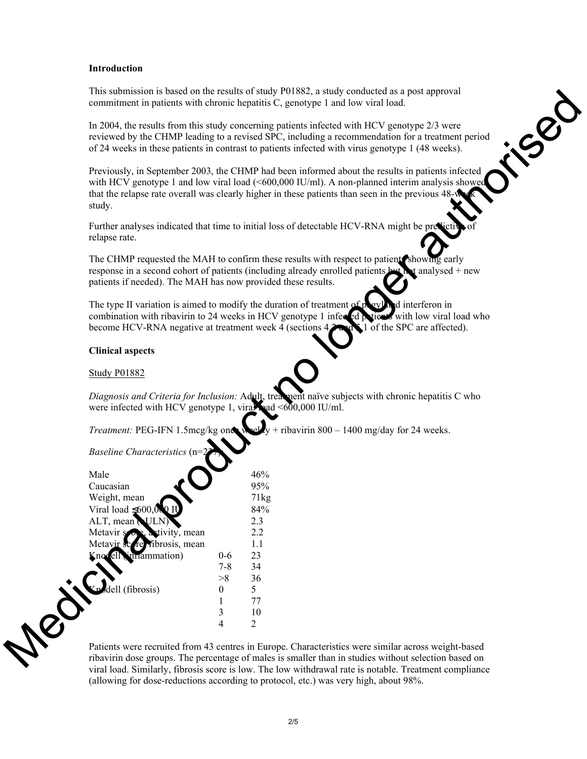## **Introduction**

This submission is based on the results of study P01882, a study conducted as a post approval commitment in patients with chronic hepatitis C, genotype 1 and low viral load.

In 2004, the results from this study concerning patients infected with HCV genotype 2/3 were reviewed by the CHMP leading to a revised SPC, including a recommendation for a treatment period of 24 weeks in these patients in contrast to patients infected with virus genotype 1 (48 weeks).

Previously, in September 2003, the CHMP had been informed about the results in patients infected with HCV genotype 1 and low viral load (<600,000 IU/ml). A non-planned interim analysis showed that the relapse rate overall was clearly higher in these patients than seen in the previous 48 study. b based on the results of such PHOs82, a study conducted as post supproval<br>didents with choosic hepatitis C, genotype 1 and low viral load.<br>
Its from this study concerning patients infected with HCV genotype 2/3 were<br>
the

Further analyses indicated that time to initial loss of detectable HCV-RNA might be pre relapse rate.

The CHMP requested the MAH to confirm these results with respect to patients showing early response in a second cohort of patients (including already enrolled patients but not analysed + new patients if needed). The MAH has now provided these results.

The type II variation is aimed to modify the duration of treatment of pegyland interferon in combination with ribavirin to 24 weeks in HCV genotype 1 infected patients with low viral load who become HCV-RNA negative at treatment week 4 (sections  $4.2 \cdot \ldots \cdot 1$  of the SPC are affected).

#### **Clinical aspects**

Study P01882

**Media** 

*Diagnosis and Criteria for Inclusion: Adult, treatment naïve subjects with chronic hepatitis C who* were infected with HCV genotype 1, viral had  $\leq 600,000$  IU/ml.

*Treatment:* PEG-IFN 1.5mcg/kg once weekly + ribavirin 800 – 1400 mg/day for 24 weeks.

 $B$ *aseline Characteristics* 

| Male                         |         | 46%  |
|------------------------------|---------|------|
| Caucasian                    |         | 95%  |
| Weight, mean                 |         | 71kg |
| Viral load $\leq 600,000$ IU |         | 84%  |
| ALT, mean NULN)              |         | 2.3  |
| Metavir song a tivity, mean  |         | 22   |
| Metavir se re ribrosis, mean |         | 1.1  |
| Kno ell in ammation)         | $0 - 6$ | 23   |
|                              | $7 - 8$ | 34   |
|                              | >8      | 36   |
| dell (fibrosis)              |         | 5    |
|                              |         | 77   |
|                              |         | 10   |
|                              |         |      |

Patients were recruited from 43 centres in Europe. Characteristics were similar across weight-based ribavirin dose groups. The percentage of males is smaller than in studies without selection based on viral load. Similarly, fibrosis score is low. The low withdrawal rate is notable. Treatment compliance (allowing for dose-reductions according to protocol, etc.) was very high, about 98%.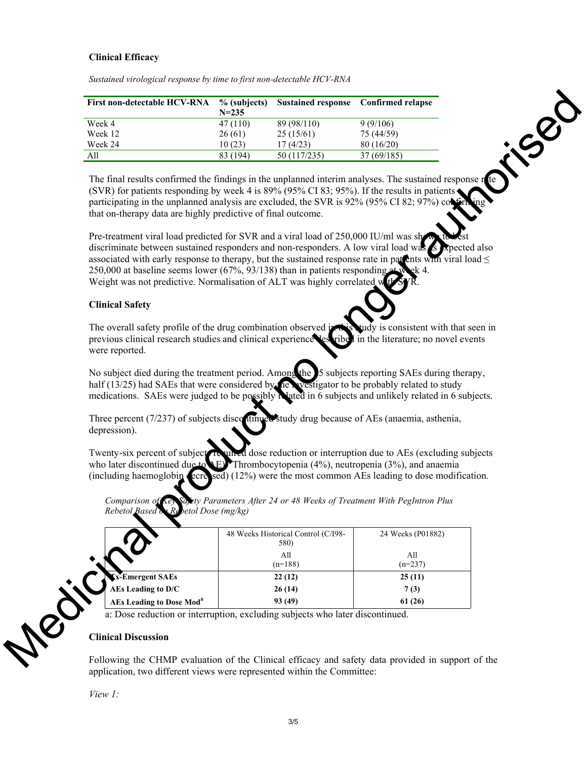# **Clinical Efficacy**

| <b>First non-detectable HCV-RNA</b> | % (subjects)<br>$N = 235$ | <b>Sustained response</b> | <b>Confirmed relapse</b> |  |
|-------------------------------------|---------------------------|---------------------------|--------------------------|--|
| Week 4                              | 47(110)                   | 89 (98/110)               | 9(9/106)                 |  |
| Week 12                             | 26(61)                    | 25(15/61)                 | 75 (44/59)               |  |
| Week 24                             | 10(23)                    | 17(4/23)                  | 80(16/20)                |  |
| All                                 | 83 (194)                  | 50 (117/235)              | 37(69/185)               |  |

*Sustained virological response by time to first non-detectable HCV-RNA* 

## **Clinical Safety**

| First non-detectable HCV-RNA                                                                                                                                                                                                                                                                                                                                                                                                                             | % (subjects)<br>$N = 235$ | <b>Sustained response</b>                   | <b>Confirmed relapse</b>                                                   |    |
|----------------------------------------------------------------------------------------------------------------------------------------------------------------------------------------------------------------------------------------------------------------------------------------------------------------------------------------------------------------------------------------------------------------------------------------------------------|---------------------------|---------------------------------------------|----------------------------------------------------------------------------|----|
| Week 4                                                                                                                                                                                                                                                                                                                                                                                                                                                   | 47(110)                   | 89 (98/110)                                 | 9(9/106)                                                                   |    |
| Week 12                                                                                                                                                                                                                                                                                                                                                                                                                                                  | 26(61)                    | 25(15/61)                                   | 75 (44/59)                                                                 |    |
| Week 24                                                                                                                                                                                                                                                                                                                                                                                                                                                  | 10(23)                    | 17(4/23)                                    | 80 (16/20)                                                                 |    |
| All                                                                                                                                                                                                                                                                                                                                                                                                                                                      | 83 (194)                  | 50 (117/235)                                | 37 (69/185)                                                                |    |
| The final results confirmed the findings in the unplanned interim analyses. The sustained response r<br>(SVR) for patients responding by week 4 is 89% (95% CI 83; 95%). If the results in patients<br>participating in the unplanned analysis are excluded, the SVR is 92% (95% CI 82; 97%) col<br>that on-therapy data are highly predictive of final outcome.<br>Pre-treatment viral load predicted for SVR and a viral load of 250,000 IU/ml was she |                           |                                             |                                                                            | te |
| discriminate between sustained responders and non-responders. A low viral load was is reported also<br>associated with early response to therapy, but the sustained response rate in patents with viral load $\leq$<br>250,000 at baseline seems lower (67%, 93/138) than in patients responding at w<br>Weight was not predictive. Normalisation of ALT was highly correlated w                                                                         |                           |                                             |                                                                            |    |
| <b>Clinical Safety</b>                                                                                                                                                                                                                                                                                                                                                                                                                                   |                           |                                             |                                                                            |    |
| The overall safety profile of the drug combination observed in<br>previous clinical research studies and clinical experience les<br>were reported.                                                                                                                                                                                                                                                                                                       |                           | ribel                                       | tudy is consistent with that seen in<br>in the literature; no novel events |    |
| No subject died during the treatment period. Among the 15 subjects reporting SAEs during therapy,<br>half (13/25) had SAEs that were considered by the westigator to be probably related to study<br>medications. SAEs were judged to be possibly related in 6 subjects and unlikely related in 6 subjects.                                                                                                                                              |                           |                                             |                                                                            |    |
| Three percent (7/237) of subjects discontinued study drug because of AEs (anaemia, asthenia,<br>depression).                                                                                                                                                                                                                                                                                                                                             |                           |                                             |                                                                            |    |
| Twenty-six percent of subject<br>who later discontinued due to $E$ . Thrombocytopenia (4%), neutropenia (3%), and anaemia<br>(including haemoglobin (ecre sed) (12%) were the most common AEs leading to dose modification.                                                                                                                                                                                                                              |                           |                                             | To un ed dose reduction or interruption due to AEs (excluding subjects     |    |
| Comparison of Ley Say by Parameters After 24 or 48 Weeks of Treatment With PegIntron Plus<br>Rebetol Based on Repetol Dose (mg/kg)                                                                                                                                                                                                                                                                                                                       |                           |                                             |                                                                            |    |
|                                                                                                                                                                                                                                                                                                                                                                                                                                                          |                           | 48 Weeks Historical Control (C/I98-<br>580) | 24 Weeks (P01882)                                                          |    |
|                                                                                                                                                                                                                                                                                                                                                                                                                                                          |                           | All<br>$(n=188)$                            | All<br>$(n=237)$                                                           |    |
| <b>X-Emergent SAEs</b>                                                                                                                                                                                                                                                                                                                                                                                                                                   |                           | 22(12)                                      | 25(11)                                                                     |    |
| AEs Leading to D/C                                                                                                                                                                                                                                                                                                                                                                                                                                       |                           | 26(14)                                      | 7(3)                                                                       |    |
| <b>AEs Leading to Dose Mod<sup>a</sup></b>                                                                                                                                                                                                                                                                                                                                                                                                               |                           | 93 (49)                                     | 61 (26)                                                                    |    |
| a: Dose reduction or interruption, excluding subjects who later discontinued.                                                                                                                                                                                                                                                                                                                                                                            |                           |                                             |                                                                            |    |
| <b>Clinical Discussion</b>                                                                                                                                                                                                                                                                                                                                                                                                                               |                           |                                             |                                                                            |    |
|                                                                                                                                                                                                                                                                                                                                                                                                                                                          |                           |                                             |                                                                            |    |

#### **Clinical Discussion**

Following the CHMP evaluation of the Clinical efficacy and safety data provided in support of the application, two different views were represented within the Committee:

*View 1:*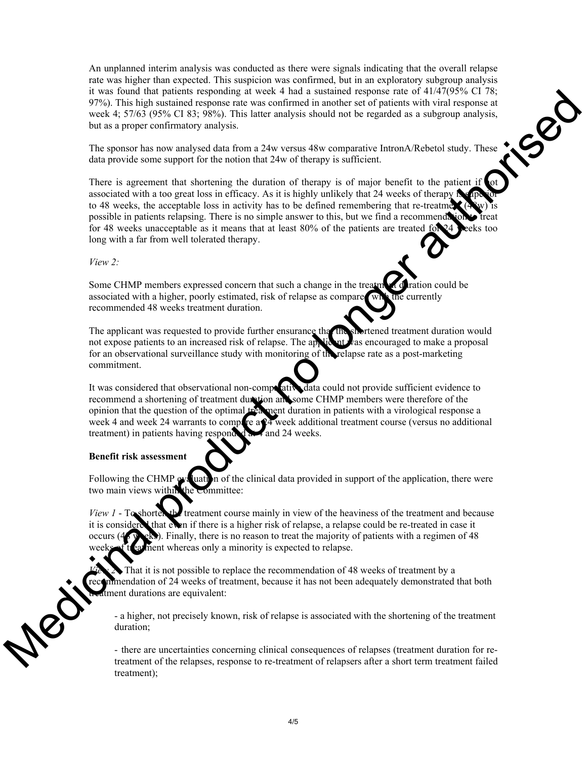An unplanned interim analysis was conducted as there were signals indicating that the overall relapse rate was higher than expected. This suspicion was confirmed, but in an exploratory subgroup analysis it was found that patients responding at week 4 had a sustained response rate of 41/47(95% CI 78; 97%). This high sustained response rate was confirmed in another set of patients with viral response at week 4; 57/63 (95% CI 83; 98%). This latter analysis should not be regarded as a subgroup analysis, but as a proper c week 4; 57/63 (95% CI 83; 98%). This latter analysis should not be regarded as a subgroup analysis, but as a proper confirmatory analysis.

The sponsor has now analysed data from a 24w versus 48w comparative IntronA/Rebetol study. These data provide some support for the notion that 24w of therapy is sufficient.

There is agreement that shortening the duration of therapy is of major benefit to the patient if associated with a too great loss in efficacy. As it is highly unlikely that 24 weeks of therapy to 48 weeks, the acceptable loss in activity has to be defined remembering that re-treatment possible in patients relapsing. There is no simple answer to this, but we find a recommend for 48 weeks unacceptable as it means that at least 80% of the patients are treated for 24 weeks too long with a far from well tolerated therapy. protective responsible and the sustained response rate was confirmed in another set of pairents with viral response at a stational constrained in a pole was confirmed in another set of pairents with viral response at a sub

#### *View 2:*

Some CHMP members expressed concern that such a change in the treatment duration could be associated with a higher, poorly estimated, risk of relapse as compared with the currently recommended 48 weeks treatment duration.

The applicant was requested to provide further ensurance that the shortened treatment duration would not expose patients to an increased risk of relapse. The applicant was encouraged to make a proposal for an observational surveillance study with monitoring of the relapse rate as a post-marketing commitment.

It was considered that observational non-comparative data could not provide sufficient evidence to recommend a shortening of treatment duration and some CHMP members were therefore of the opinion that the question of the optimal treatment duration in patients with a virological response a week 4 and week 24 warrants to compare a  $24$  week additional treatment course (versus no additional treatment) in patients having responded at 4 and 24 weeks.

#### **Benefit risk assessment**

Following the CHMP evaluation of the clinical data provided in support of the application, there were two main views within the Committee:

*View 1* - To shortem the treatment course mainly in view of the heaviness of the treatment and because it is considered that even if there is a higher risk of relapse, a relapse could be re-treated in case it occurs ( $48$  weeks). Finally, there is no reason to treat the majority of patients with a regimen of 48 ment whereas only a minority is expected to relapse.

That it is not possible to replace the recommendation of 48 weeks of treatment by a imendation of 24 weeks of treatment, because it has not been adequately demonstrated that both timent durations are equivalent:

- a higher, not precisely known, risk of relapse is associated with the shortening of the treatment duration;

- there are uncertainties concerning clinical consequences of relapses (treatment duration for retreatment of the relapses, response to re-treatment of relapsers after a short term treatment failed treatment);

Nel